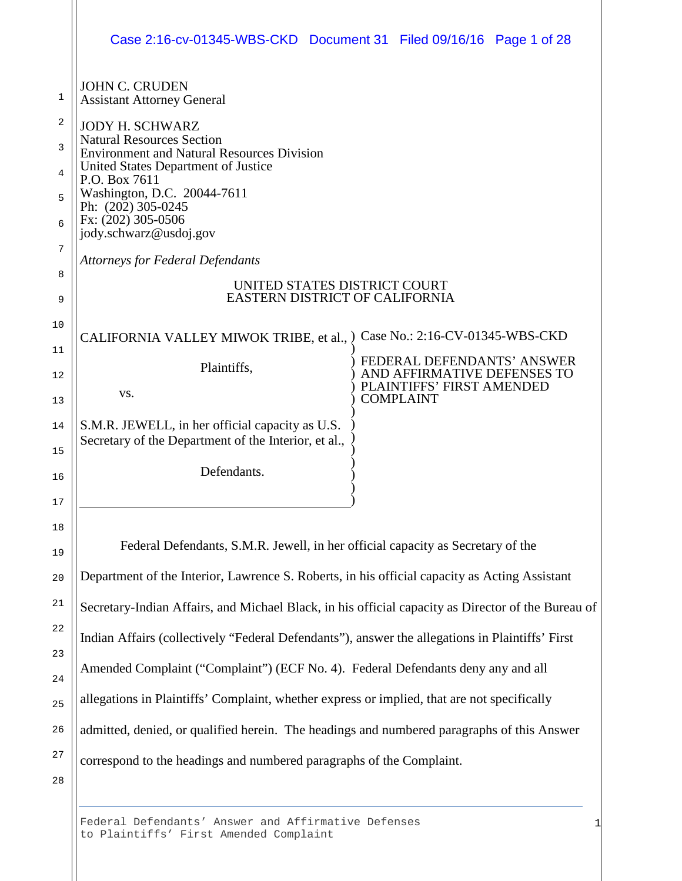|                  | Case 2:16-cv-01345-WBS-CKD Document 31 Filed 09/16/16 Page 1 of 28                                                                                                                                                           |  |                                                                                        |  |  |  |
|------------------|------------------------------------------------------------------------------------------------------------------------------------------------------------------------------------------------------------------------------|--|----------------------------------------------------------------------------------------|--|--|--|
| 1                | <b>JOHN C. CRUDEN</b><br><b>Assistant Attorney General</b>                                                                                                                                                                   |  |                                                                                        |  |  |  |
| 2<br>3<br>4<br>5 | <b>JODY H. SCHWARZ</b><br><b>Natural Resources Section</b><br><b>Environment and Natural Resources Division</b><br>United States Department of Justice<br>P.O. Box 7611<br>Washington, D.C. 20044-7611<br>Ph: (202) 305-0245 |  |                                                                                        |  |  |  |
| 6<br>7           | Fx: (202) 305-0506<br>jody.schwarz@usdoj.gov<br><b>Attorneys for Federal Defendants</b>                                                                                                                                      |  |                                                                                        |  |  |  |
| 8<br>9           | UNITED STATES DISTRICT COURT<br>EASTERN DISTRICT OF CALIFORNIA                                                                                                                                                               |  |                                                                                        |  |  |  |
| 10               | CALIFORNIA VALLEY MIWOK TRIBE, et al., )                                                                                                                                                                                     |  | Case No.: 2:16-CV-01345-WBS-CKD                                                        |  |  |  |
| 11<br>12         | Plaintiffs,<br>VS.                                                                                                                                                                                                           |  | FEDERAL DEFENDANTS' ANSWER<br>AND AFFIRMATIVE DEFENSES TO<br>PLAINTIFFS' FIRST AMENDED |  |  |  |
| 13<br>14         | S.M.R. JEWELL, in her official capacity as U.S.<br>Secretary of the Department of the Interior, et al.,                                                                                                                      |  | <b>COMPLAINT</b>                                                                       |  |  |  |
| 15<br>16         | Defendants.                                                                                                                                                                                                                  |  |                                                                                        |  |  |  |
| $17\,$<br>18     |                                                                                                                                                                                                                              |  |                                                                                        |  |  |  |
| 19               | Federal Defendants, S.M.R. Jewell, in her official capacity as Secretary of the                                                                                                                                              |  |                                                                                        |  |  |  |
| 20               | Department of the Interior, Lawrence S. Roberts, in his official capacity as Acting Assistant                                                                                                                                |  |                                                                                        |  |  |  |
| 21               | Secretary-Indian Affairs, and Michael Black, in his official capacity as Director of the Bureau of                                                                                                                           |  |                                                                                        |  |  |  |
| 22               | Indian Affairs (collectively "Federal Defendants"), answer the allegations in Plaintiffs' First                                                                                                                              |  |                                                                                        |  |  |  |
| 23<br>24         | Amended Complaint ("Complaint") (ECF No. 4). Federal Defendants deny any and all                                                                                                                                             |  |                                                                                        |  |  |  |
| 25               | allegations in Plaintiffs' Complaint, whether express or implied, that are not specifically                                                                                                                                  |  |                                                                                        |  |  |  |
| 26               | admitted, denied, or qualified herein. The headings and numbered paragraphs of this Answer                                                                                                                                   |  |                                                                                        |  |  |  |
| 27               | correspond to the headings and numbered paragraphs of the Complaint.                                                                                                                                                         |  |                                                                                        |  |  |  |
| 28               |                                                                                                                                                                                                                              |  |                                                                                        |  |  |  |

Federal Defendants' Answer and Affirmative Defenses to Plaintiffs' First Amended Complaint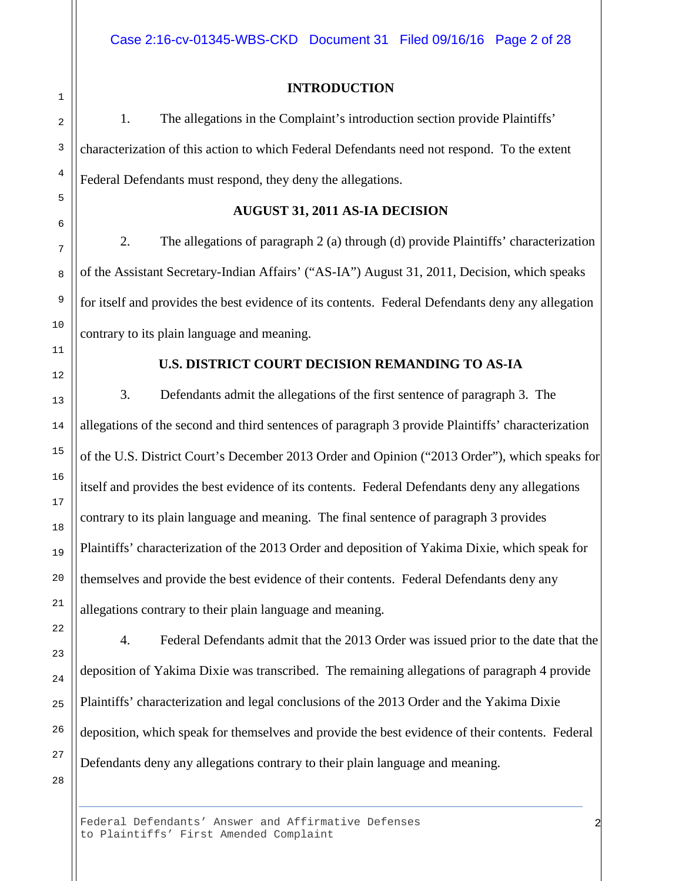## **INTRODUCTION**

1. The allegations in the Complaint's introduction section provide Plaintiffs' characterization of this action to which Federal Defendants need not respond. To the extent Federal Defendants must respond, they deny the allegations.

#### **AUGUST 31, 2011 AS-IA DECISION**

2. The allegations of paragraph 2 (a) through (d) provide Plaintiffs' characterization of the Assistant Secretary-Indian Affairs' ("AS-IA") August 31, 2011, Decision, which speaks for itself and provides the best evidence of its contents. Federal Defendants deny any allegation contrary to its plain language and meaning.

# **U.S. DISTRICT COURT DECISION REMANDING TO AS-IA**

3. Defendants admit the allegations of the first sentence of paragraph 3. The allegations of the second and third sentences of paragraph 3 provide Plaintiffs' characterization of the U.S. District Court's December 2013 Order and Opinion ("2013 Order"), which speaks for itself and provides the best evidence of its contents. Federal Defendants deny any allegations contrary to its plain language and meaning. The final sentence of paragraph 3 provides Plaintiffs' characterization of the 2013 Order and deposition of Yakima Dixie, which speak for themselves and provide the best evidence of their contents. Federal Defendants deny any allegations contrary to their plain language and meaning.

4. Federal Defendants admit that the 2013 Order was issued prior to the date that the deposition of Yakima Dixie was transcribed. The remaining allegations of paragraph 4 provide Plaintiffs' characterization and legal conclusions of the 2013 Order and the Yakima Dixie deposition, which speak for themselves and provide the best evidence of their contents. Federal Defendants deny any allegations contrary to their plain language and meaning.

2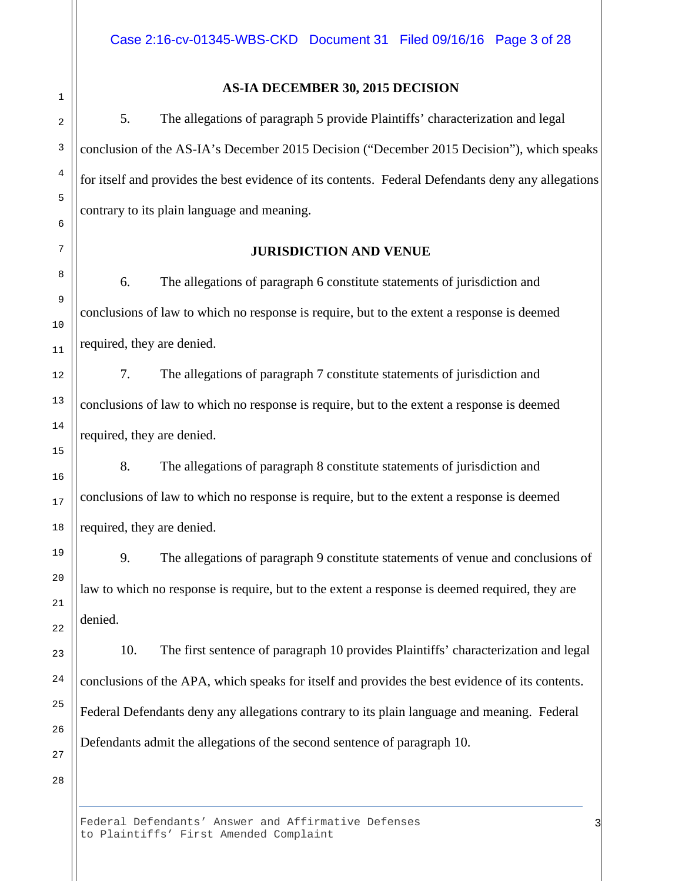## **AS-IA DECEMBER 30, 2015 DECISION**

5. The allegations of paragraph 5 provide Plaintiffs' characterization and legal conclusion of the AS-IA's December 2015 Decision ("December 2015 Decision"), which speaks for itself and provides the best evidence of its contents. Federal Defendants deny any allegations contrary to its plain language and meaning.

## **JURISDICTION AND VENUE**

6. The allegations of paragraph 6 constitute statements of jurisdiction and conclusions of law to which no response is require, but to the extent a response is deemed required, they are denied.

7. The allegations of paragraph 7 constitute statements of jurisdiction and conclusions of law to which no response is require, but to the extent a response is deemed required, they are denied.

8. The allegations of paragraph 8 constitute statements of jurisdiction and conclusions of law to which no response is require, but to the extent a response is deemed required, they are denied.

9. The allegations of paragraph 9 constitute statements of venue and conclusions of law to which no response is require, but to the extent a response is deemed required, they are denied.

10. The first sentence of paragraph 10 provides Plaintiffs' characterization and legal conclusions of the APA, which speaks for itself and provides the best evidence of its contents. Federal Defendants deny any allegations contrary to its plain language and meaning. Federal Defendants admit the allegations of the second sentence of paragraph 10.

28

26

27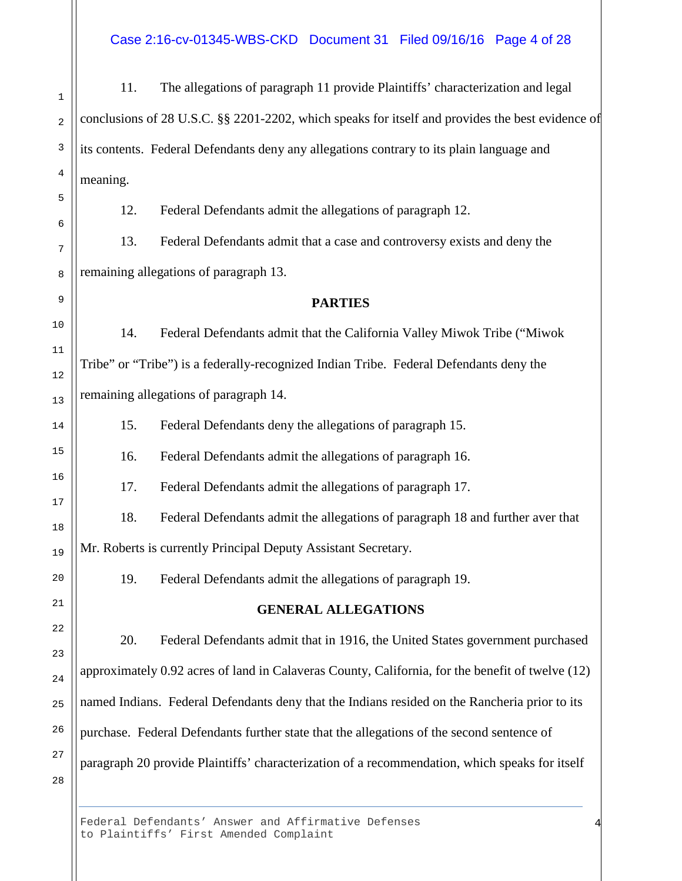#### Case 2:16-cv-01345-WBS-CKD Document 31 Filed 09/16/16 Page 4 of 28

11. The allegations of paragraph 11 provide Plaintiffs' characterization and legal conclusions of 28 U.S.C. §§ 2201-2202, which speaks for itself and provides the best evidence of its contents. Federal Defendants deny any allegations contrary to its plain language and meaning.

12. Federal Defendants admit the allegations of paragraph 12.

13. Federal Defendants admit that a case and controversy exists and deny the remaining allegations of paragraph 13.

#### **PARTIES**

14. Federal Defendants admit that the California Valley Miwok Tribe ("Miwok Tribe" or "Tribe") is a federally-recognized Indian Tribe. Federal Defendants deny the remaining allegations of paragraph 14.

15. Federal Defendants deny the allegations of paragraph 15.

16. Federal Defendants admit the allegations of paragraph 16.

17. Federal Defendants admit the allegations of paragraph 17.

18. Federal Defendants admit the allegations of paragraph 18 and further aver that

Mr. Roberts is currently Principal Deputy Assistant Secretary.

19. Federal Defendants admit the allegations of paragraph 19.

#### **GENERAL ALLEGATIONS**

20. Federal Defendants admit that in 1916, the United States government purchased approximately 0.92 acres of land in Calaveras County, California, for the benefit of twelve (12) named Indians. Federal Defendants deny that the Indians resided on the Rancheria prior to its purchase. Federal Defendants further state that the allegations of the second sentence of paragraph 20 provide Plaintiffs' characterization of a recommendation, which speaks for itself

Federal Defendants' Answer and Affirmative Defenses to Plaintiffs' First Amended Complaint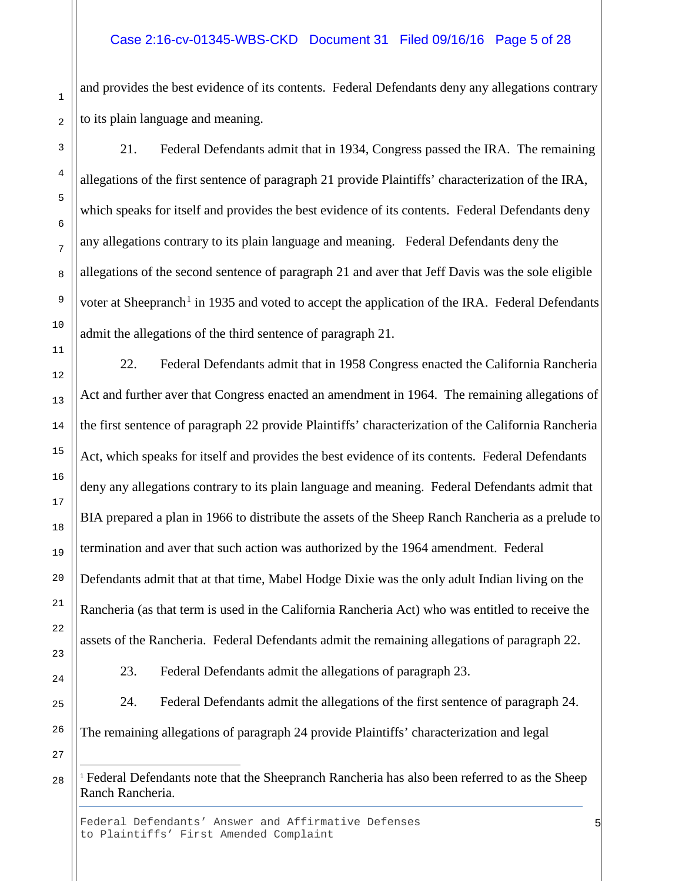## Case 2:16-cv-01345-WBS-CKD Document 31 Filed 09/16/16 Page 5 of 28

and provides the best evidence of its contents. Federal Defendants deny any allegations contrary to its plain language and meaning.

21. Federal Defendants admit that in 1934, Congress passed the IRA. The remaining allegations of the first sentence of paragraph 21 provide Plaintiffs' characterization of the IRA, which speaks for itself and provides the best evidence of its contents. Federal Defendants deny any allegations contrary to its plain language and meaning. Federal Defendants deny the allegations of the second sentence of paragraph 21 and aver that Jeff Davis was the sole eligible voter at Sheepranch<sup>[1](#page-4-0)</sup> in 1935 and voted to accept the application of the IRA. Federal Defendants admit the allegations of the third sentence of paragraph 21.

22. Federal Defendants admit that in 1958 Congress enacted the California Rancheria Act and further aver that Congress enacted an amendment in 1964. The remaining allegations of the first sentence of paragraph 22 provide Plaintiffs' characterization of the California Rancheria Act, which speaks for itself and provides the best evidence of its contents. Federal Defendants deny any allegations contrary to its plain language and meaning. Federal Defendants admit that BIA prepared a plan in 1966 to distribute the assets of the Sheep Ranch Rancheria as a prelude to termination and aver that such action was authorized by the 1964 amendment. Federal Defendants admit that at that time, Mabel Hodge Dixie was the only adult Indian living on the Rancheria (as that term is used in the California Rancheria Act) who was entitled to receive the assets of the Rancheria. Federal Defendants admit the remaining allegations of paragraph 22.

23. Federal Defendants admit the allegations of paragraph 23.

24. Federal Defendants admit the allegations of the first sentence of paragraph 24. The remaining allegations of paragraph 24 provide Plaintiffs' characterization and legal

<span id="page-4-0"></span><sup>1</sup> Federal Defendants note that the Sheepranch Rancheria has also been referred to as the Sheep Ranch Rancheria.

Federal Defendants' Answer and Affirmative Defenses to Plaintiffs' First Amended Complaint

Ξ

1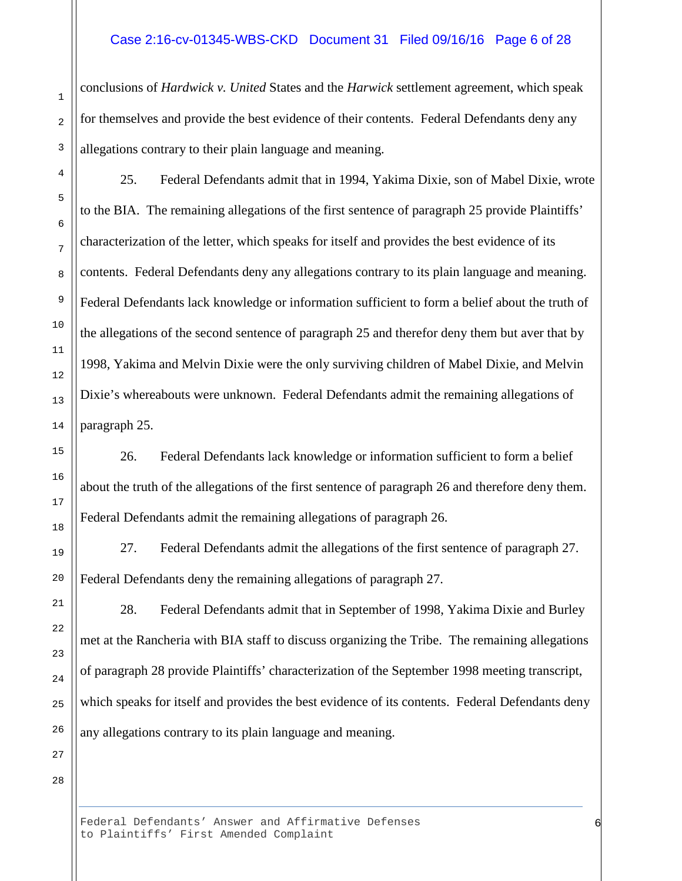#### Case 2:16-cv-01345-WBS-CKD Document 31 Filed 09/16/16 Page 6 of 28

conclusions of *Hardwick v. United* States and the *Harwick* settlement agreement, which speak for themselves and provide the best evidence of their contents. Federal Defendants deny any allegations contrary to their plain language and meaning.

25. Federal Defendants admit that in 1994, Yakima Dixie, son of Mabel Dixie, wrote to the BIA. The remaining allegations of the first sentence of paragraph 25 provide Plaintiffs' characterization of the letter, which speaks for itself and provides the best evidence of its contents. Federal Defendants deny any allegations contrary to its plain language and meaning. Federal Defendants lack knowledge or information sufficient to form a belief about the truth of the allegations of the second sentence of paragraph 25 and therefor deny them but aver that by 1998, Yakima and Melvin Dixie were the only surviving children of Mabel Dixie, and Melvin Dixie's whereabouts were unknown. Federal Defendants admit the remaining allegations of paragraph 25.

26. Federal Defendants lack knowledge or information sufficient to form a belief about the truth of the allegations of the first sentence of paragraph 26 and therefore deny them. Federal Defendants admit the remaining allegations of paragraph 26.

27. Federal Defendants admit the allegations of the first sentence of paragraph 27. Federal Defendants deny the remaining allegations of paragraph 27.

28. Federal Defendants admit that in September of 1998, Yakima Dixie and Burley met at the Rancheria with BIA staff to discuss organizing the Tribe. The remaining allegations of paragraph 28 provide Plaintiffs' characterization of the September 1998 meeting transcript, which speaks for itself and provides the best evidence of its contents. Federal Defendants deny any allegations contrary to its plain language and meaning.

28

1

2

3

4

5

6

7

8

9

10

11

12

13

14

15

16

17

18

19

20

21

22

23

24

25

26

27

Federal Defendants' Answer and Affirmative Defenses to Plaintiffs' First Amended Complaint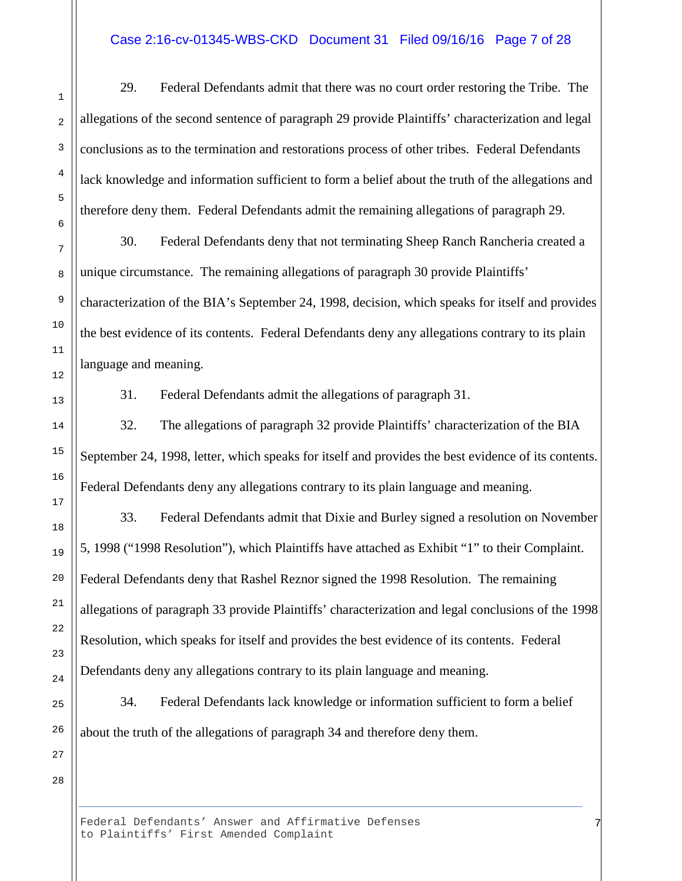#### Case 2:16-cv-01345-WBS-CKD Document 31 Filed 09/16/16 Page 7 of 28

29. Federal Defendants admit that there was no court order restoring the Tribe. The allegations of the second sentence of paragraph 29 provide Plaintiffs' characterization and legal conclusions as to the termination and restorations process of other tribes. Federal Defendants lack knowledge and information sufficient to form a belief about the truth of the allegations and therefore deny them. Federal Defendants admit the remaining allegations of paragraph 29.

30. Federal Defendants deny that not terminating Sheep Ranch Rancheria created a unique circumstance. The remaining allegations of paragraph 30 provide Plaintiffs' characterization of the BIA's September 24, 1998, decision, which speaks for itself and provides the best evidence of its contents. Federal Defendants deny any allegations contrary to its plain language and meaning.

31. Federal Defendants admit the allegations of paragraph 31.

32. The allegations of paragraph 32 provide Plaintiffs' characterization of the BIA September 24, 1998, letter, which speaks for itself and provides the best evidence of its contents. Federal Defendants deny any allegations contrary to its plain language and meaning.

33. Federal Defendants admit that Dixie and Burley signed a resolution on November 5, 1998 ("1998 Resolution"), which Plaintiffs have attached as Exhibit "1" to their Complaint. Federal Defendants deny that Rashel Reznor signed the 1998 Resolution. The remaining allegations of paragraph 33 provide Plaintiffs' characterization and legal conclusions of the 1998 Resolution, which speaks for itself and provides the best evidence of its contents. Federal Defendants deny any allegations contrary to its plain language and meaning.

34. Federal Defendants lack knowledge or information sufficient to form a belief about the truth of the allegations of paragraph 34 and therefore deny them.

7

28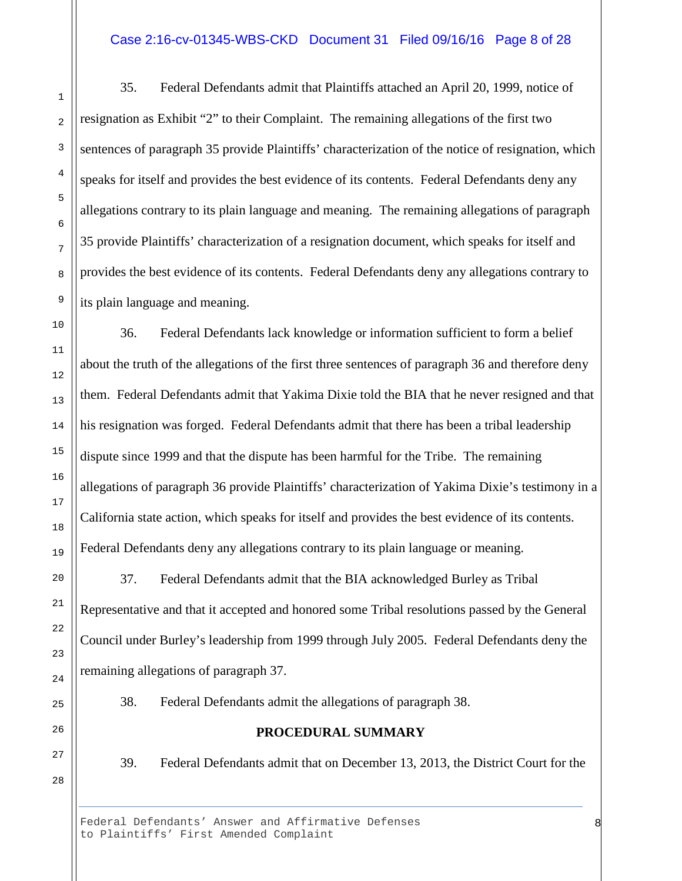#### Case 2:16-cv-01345-WBS-CKD Document 31 Filed 09/16/16 Page 8 of 28

35. Federal Defendants admit that Plaintiffs attached an April 20, 1999, notice of resignation as Exhibit "2" to their Complaint. The remaining allegations of the first two sentences of paragraph 35 provide Plaintiffs' characterization of the notice of resignation, which speaks for itself and provides the best evidence of its contents. Federal Defendants deny any allegations contrary to its plain language and meaning. The remaining allegations of paragraph 35 provide Plaintiffs' characterization of a resignation document, which speaks for itself and provides the best evidence of its contents. Federal Defendants deny any allegations contrary to its plain language and meaning.

36. Federal Defendants lack knowledge or information sufficient to form a belief about the truth of the allegations of the first three sentences of paragraph 36 and therefore deny them. Federal Defendants admit that Yakima Dixie told the BIA that he never resigned and that his resignation was forged. Federal Defendants admit that there has been a tribal leadership dispute since 1999 and that the dispute has been harmful for the Tribe. The remaining allegations of paragraph 36 provide Plaintiffs' characterization of Yakima Dixie's testimony in a California state action, which speaks for itself and provides the best evidence of its contents. Federal Defendants deny any allegations contrary to its plain language or meaning.

37. Federal Defendants admit that the BIA acknowledged Burley as Tribal Representative and that it accepted and honored some Tribal resolutions passed by the General Council under Burley's leadership from 1999 through July 2005. Federal Defendants deny the remaining allegations of paragraph 37.

38. Federal Defendants admit the allegations of paragraph 38.

## **PROCEDURAL SUMMARY**

39. Federal Defendants admit that on December 13, 2013, the District Court for the

8

Federal Defendants' Answer and Affirmative Defenses to Plaintiffs' First Amended Complaint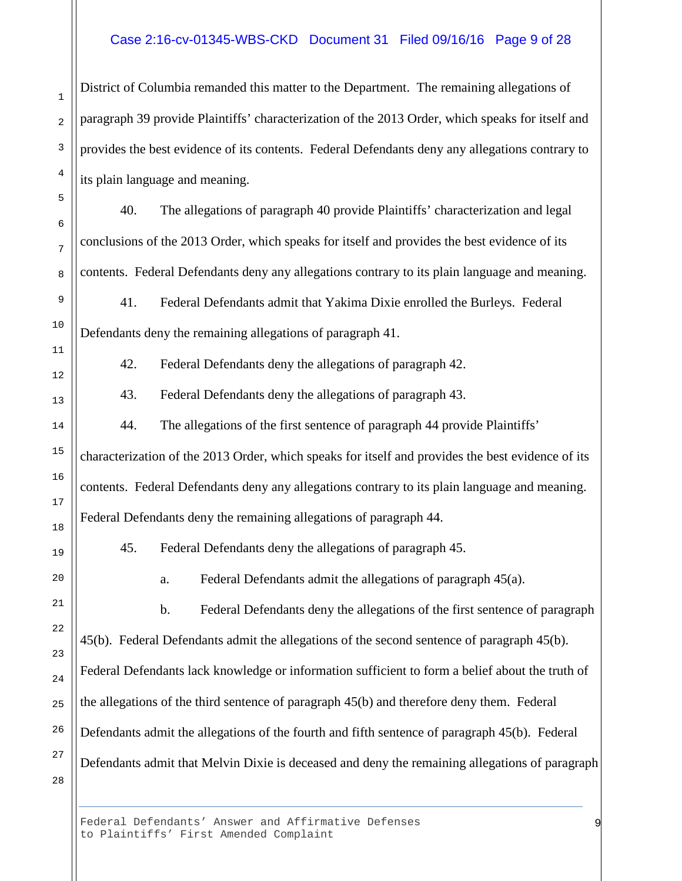#### Case 2:16-cv-01345-WBS-CKD Document 31 Filed 09/16/16 Page 9 of 28

District of Columbia remanded this matter to the Department. The remaining allegations of paragraph 39 provide Plaintiffs' characterization of the 2013 Order, which speaks for itself and provides the best evidence of its contents. Federal Defendants deny any allegations contrary to its plain language and meaning.

40. The allegations of paragraph 40 provide Plaintiffs' characterization and legal conclusions of the 2013 Order, which speaks for itself and provides the best evidence of its contents. Federal Defendants deny any allegations contrary to its plain language and meaning.

41. Federal Defendants admit that Yakima Dixie enrolled the Burleys. Federal Defendants deny the remaining allegations of paragraph 41.

42. Federal Defendants deny the allegations of paragraph 42.

43. Federal Defendants deny the allegations of paragraph 43.

44. The allegations of the first sentence of paragraph 44 provide Plaintiffs' characterization of the 2013 Order, which speaks for itself and provides the best evidence of its contents. Federal Defendants deny any allegations contrary to its plain language and meaning. Federal Defendants deny the remaining allegations of paragraph 44.

45. Federal Defendants deny the allegations of paragraph 45.

a. Federal Defendants admit the allegations of paragraph 45(a).

b. Federal Defendants deny the allegations of the first sentence of paragraph 45(b). Federal Defendants admit the allegations of the second sentence of paragraph 45(b). Federal Defendants lack knowledge or information sufficient to form a belief about the truth of the allegations of the third sentence of paragraph 45(b) and therefore deny them. Federal Defendants admit the allegations of the fourth and fifth sentence of paragraph 45(b). Federal Defendants admit that Melvin Dixie is deceased and deny the remaining allegations of paragraph

9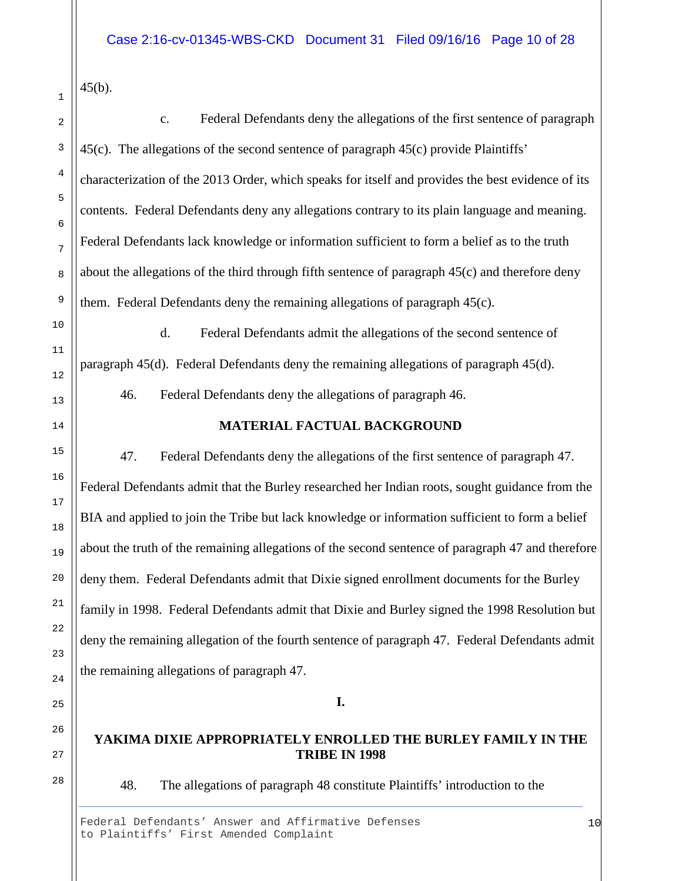$45(b)$ .

c. Federal Defendants deny the allegations of the first sentence of paragraph 45(c). The allegations of the second sentence of paragraph 45(c) provide Plaintiffs' characterization of the 2013 Order, which speaks for itself and provides the best evidence of its contents. Federal Defendants deny any allegations contrary to its plain language and meaning. Federal Defendants lack knowledge or information sufficient to form a belief as to the truth about the allegations of the third through fifth sentence of paragraph 45(c) and therefore deny them. Federal Defendants deny the remaining allegations of paragraph 45(c).

d. Federal Defendants admit the allegations of the second sentence of paragraph 45(d). Federal Defendants deny the remaining allegations of paragraph 45(d).

46. Federal Defendants deny the allegations of paragraph 46.

# **MATERIAL FACTUAL BACKGROUND**

47. Federal Defendants deny the allegations of the first sentence of paragraph 47. Federal Defendants admit that the Burley researched her Indian roots, sought guidance from the BIA and applied to join the Tribe but lack knowledge or information sufficient to form a belief about the truth of the remaining allegations of the second sentence of paragraph 47 and therefore deny them. Federal Defendants admit that Dixie signed enrollment documents for the Burley family in 1998. Federal Defendants admit that Dixie and Burley signed the 1998 Resolution but deny the remaining allegation of the fourth sentence of paragraph 47. Federal Defendants admit the remaining allegations of paragraph 47.

**I.**

## **YAKIMA DIXIE APPROPRIATELY ENROLLED THE BURLEY FAMILY IN THE TRIBE IN 1998**

48. The allegations of paragraph 48 constitute Plaintiffs' introduction to the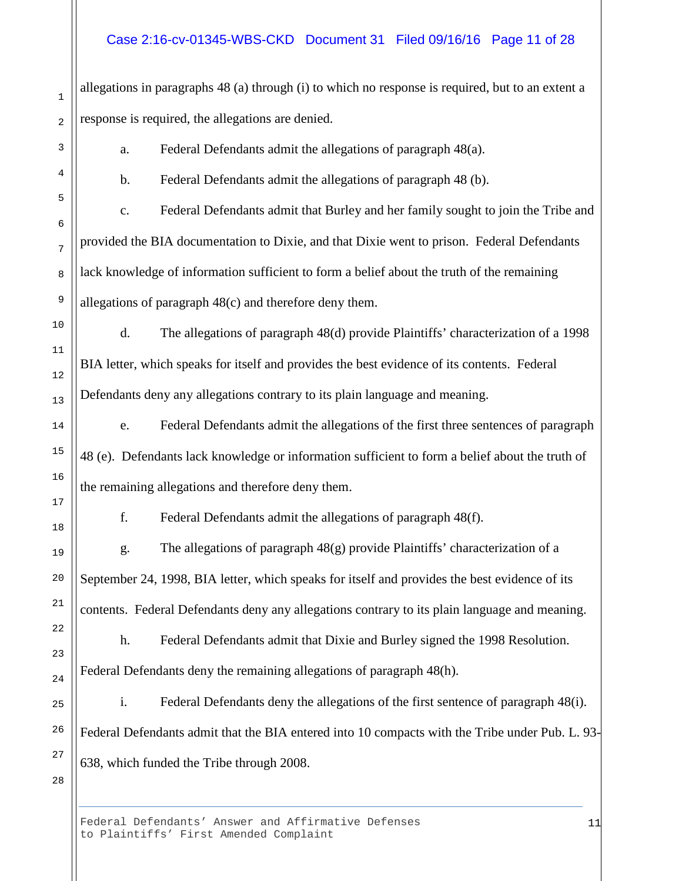## Case 2:16-cv-01345-WBS-CKD Document 31 Filed 09/16/16 Page 11 of 28

allegations in paragraphs 48 (a) through (i) to which no response is required, but to an extent a response is required, the allegations are denied.

a. Federal Defendants admit the allegations of paragraph 48(a).

b. Federal Defendants admit the allegations of paragraph 48 (b).

c. Federal Defendants admit that Burley and her family sought to join the Tribe and provided the BIA documentation to Dixie, and that Dixie went to prison. Federal Defendants lack knowledge of information sufficient to form a belief about the truth of the remaining allegations of paragraph 48(c) and therefore deny them.

d. The allegations of paragraph 48(d) provide Plaintiffs' characterization of a 1998 BIA letter, which speaks for itself and provides the best evidence of its contents. Federal Defendants deny any allegations contrary to its plain language and meaning.

e. Federal Defendants admit the allegations of the first three sentences of paragraph 48 (e). Defendants lack knowledge or information sufficient to form a belief about the truth of the remaining allegations and therefore deny them.

f. Federal Defendants admit the allegations of paragraph 48(f).

g. The allegations of paragraph 48(g) provide Plaintiffs' characterization of a September 24, 1998, BIA letter, which speaks for itself and provides the best evidence of its contents. Federal Defendants deny any allegations contrary to its plain language and meaning.

h. Federal Defendants admit that Dixie and Burley signed the 1998 Resolution. Federal Defendants deny the remaining allegations of paragraph 48(h).

i. Federal Defendants deny the allegations of the first sentence of paragraph 48(i). Federal Defendants admit that the BIA entered into 10 compacts with the Tribe under Pub. L. 93- 638, which funded the Tribe through 2008.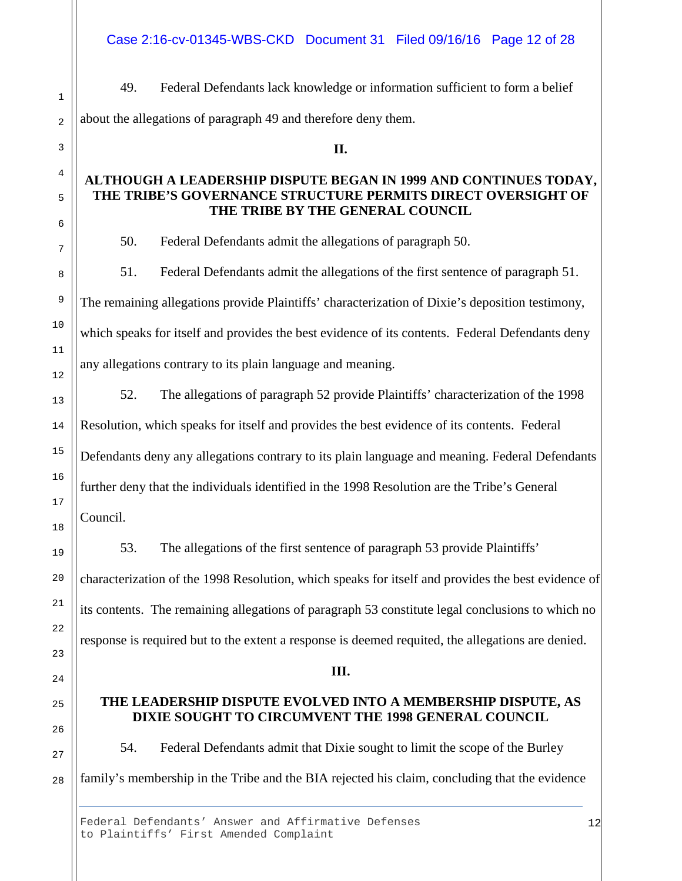Case 2:16-cv-01345-WBS-CKD Document 31 Filed 09/16/16 Page 12 of 28

49. Federal Defendants lack knowledge or information sufficient to form a belief about the allegations of paragraph 49 and therefore deny them.

# **ALTHOUGH A LEADERSHIP DISPUTE BEGAN IN 1999 AND CONTINUES TODAY, THE TRIBE'S GOVERNANCE STRUCTURE PERMITS DIRECT OVERSIGHT OF THE TRIBE BY THE GENERAL COUNCIL**

**II.**

50. Federal Defendants admit the allegations of paragraph 50.

51. Federal Defendants admit the allegations of the first sentence of paragraph 51. The remaining allegations provide Plaintiffs' characterization of Dixie's deposition testimony, which speaks for itself and provides the best evidence of its contents. Federal Defendants deny any allegations contrary to its plain language and meaning.

52. The allegations of paragraph 52 provide Plaintiffs' characterization of the 1998 Resolution, which speaks for itself and provides the best evidence of its contents. Federal Defendants deny any allegations contrary to its plain language and meaning. Federal Defendants further deny that the individuals identified in the 1998 Resolution are the Tribe's General Council.

53. The allegations of the first sentence of paragraph 53 provide Plaintiffs' characterization of the 1998 Resolution, which speaks for itself and provides the best evidence of its contents. The remaining allegations of paragraph 53 constitute legal conclusions to which no response is required but to the extent a response is deemed requited, the allegations are denied.

#### **III.**

## **THE LEADERSHIP DISPUTE EVOLVED INTO A MEMBERSHIP DISPUTE, AS DIXIE SOUGHT TO CIRCUMVENT THE 1998 GENERAL COUNCIL**

54. Federal Defendants admit that Dixie sought to limit the scope of the Burley family's membership in the Tribe and the BIA rejected his claim, concluding that the evidence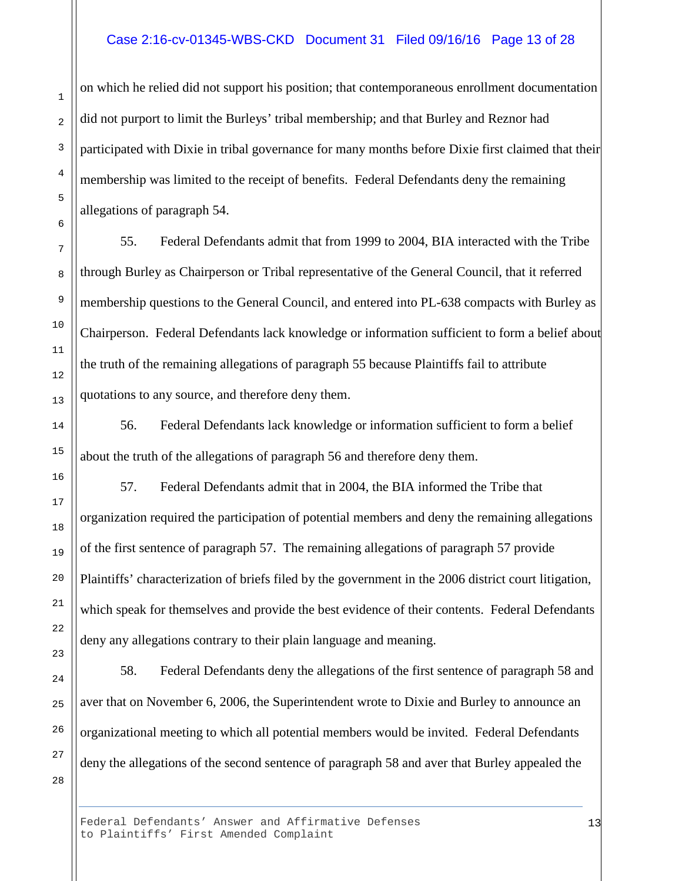#### Case 2:16-cv-01345-WBS-CKD Document 31 Filed 09/16/16 Page 13 of 28

on which he relied did not support his position; that contemporaneous enrollment documentation did not purport to limit the Burleys' tribal membership; and that Burley and Reznor had participated with Dixie in tribal governance for many months before Dixie first claimed that their membership was limited to the receipt of benefits. Federal Defendants deny the remaining allegations of paragraph 54.

55. Federal Defendants admit that from 1999 to 2004, BIA interacted with the Tribe through Burley as Chairperson or Tribal representative of the General Council, that it referred membership questions to the General Council, and entered into PL-638 compacts with Burley as Chairperson. Federal Defendants lack knowledge or information sufficient to form a belief about the truth of the remaining allegations of paragraph 55 because Plaintiffs fail to attribute quotations to any source, and therefore deny them.

56. Federal Defendants lack knowledge or information sufficient to form a belief about the truth of the allegations of paragraph 56 and therefore deny them.

57. Federal Defendants admit that in 2004, the BIA informed the Tribe that organization required the participation of potential members and deny the remaining allegations of the first sentence of paragraph 57. The remaining allegations of paragraph 57 provide Plaintiffs' characterization of briefs filed by the government in the 2006 district court litigation, which speak for themselves and provide the best evidence of their contents. Federal Defendants deny any allegations contrary to their plain language and meaning.

58. Federal Defendants deny the allegations of the first sentence of paragraph 58 and aver that on November 6, 2006, the Superintendent wrote to Dixie and Burley to announce an organizational meeting to which all potential members would be invited. Federal Defendants deny the allegations of the second sentence of paragraph 58 and aver that Burley appealed the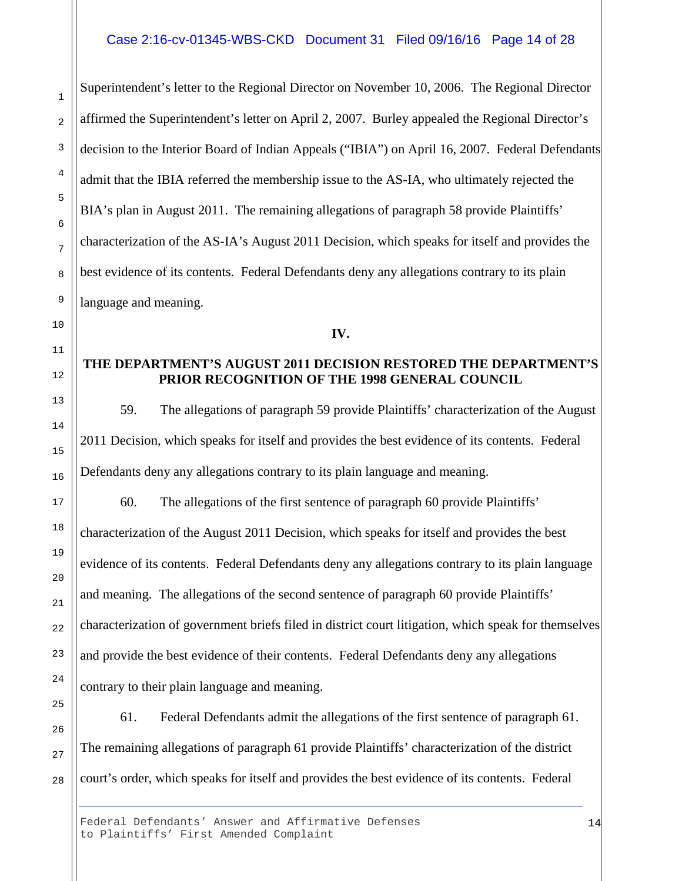#### Case 2:16-cv-01345-WBS-CKD Document 31 Filed 09/16/16 Page 14 of 28

Superintendent's letter to the Regional Director on November 10, 2006. The Regional Director affirmed the Superintendent's letter on April 2, 2007. Burley appealed the Regional Director's decision to the Interior Board of Indian Appeals ("IBIA") on April 16, 2007. Federal Defendants admit that the IBIA referred the membership issue to the AS-IA, who ultimately rejected the BIA's plan in August 2011. The remaining allegations of paragraph 58 provide Plaintiffs' characterization of the AS-IA's August 2011 Decision, which speaks for itself and provides the best evidence of its contents. Federal Defendants deny any allegations contrary to its plain language and meaning.

**IV.**

## **THE DEPARTMENT'S AUGUST 2011 DECISION RESTORED THE DEPARTMENT'S PRIOR RECOGNITION OF THE 1998 GENERAL COUNCIL**

59. The allegations of paragraph 59 provide Plaintiffs' characterization of the August 2011 Decision, which speaks for itself and provides the best evidence of its contents. Federal Defendants deny any allegations contrary to its plain language and meaning.

60. The allegations of the first sentence of paragraph 60 provide Plaintiffs' characterization of the August 2011 Decision, which speaks for itself and provides the best evidence of its contents. Federal Defendants deny any allegations contrary to its plain language and meaning. The allegations of the second sentence of paragraph 60 provide Plaintiffs' characterization of government briefs filed in district court litigation, which speak for themselves and provide the best evidence of their contents. Federal Defendants deny any allegations contrary to their plain language and meaning.

61. Federal Defendants admit the allegations of the first sentence of paragraph 61. The remaining allegations of paragraph 61 provide Plaintiffs' characterization of the district court's order, which speaks for itself and provides the best evidence of its contents. Federal

1

2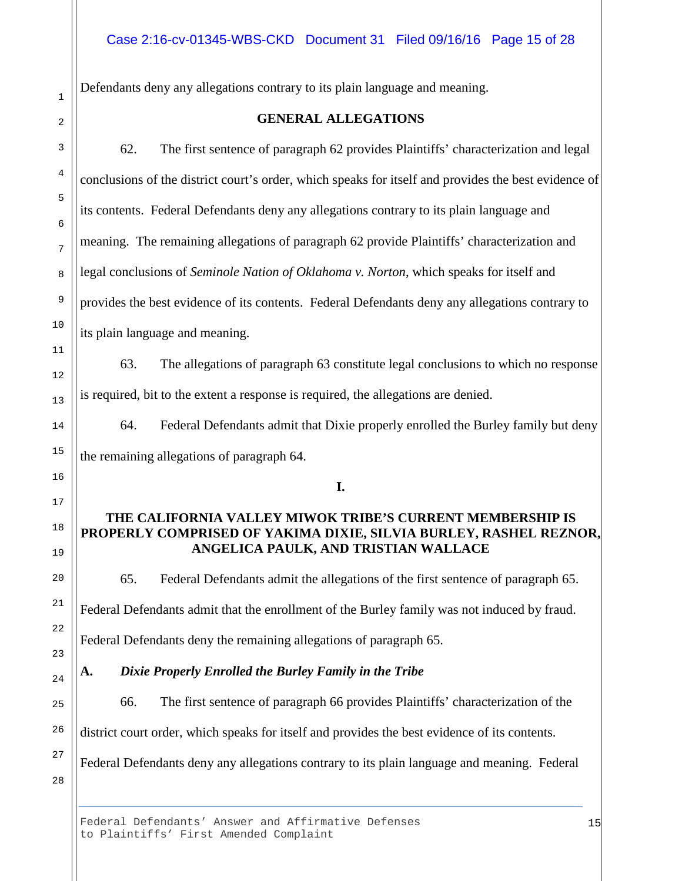Defendants deny any allegations contrary to its plain language and meaning.

62. The first sentence of paragraph 62 provides Plaintiffs' characterization and legal conclusions of the district court's order, which speaks for itself and provides the best evidence of its contents. Federal Defendants deny any allegations contrary to its plain language and meaning. The remaining allegations of paragraph 62 provide Plaintiffs' characterization and legal conclusions of *Seminole Nation of Oklahoma v. Norton*, which speaks for itself and provides the best evidence of its contents. Federal Defendants deny any allegations contrary to its plain language and meaning.

63. The allegations of paragraph 63 constitute legal conclusions to which no response is required, bit to the extent a response is required, the allegations are denied.

64. Federal Defendants admit that Dixie properly enrolled the Burley family but deny the remaining allegations of paragraph 64.

**I.** 

# **THE CALIFORNIA VALLEY MIWOK TRIBE'S CURRENT MEMBERSHIP IS PROPERLY COMPRISED OF YAKIMA DIXIE, SILVIA BURLEY, RASHEL REZNOR, ANGELICA PAULK, AND TRISTIAN WALLACE**

65. Federal Defendants admit the allegations of the first sentence of paragraph 65. Federal Defendants admit that the enrollment of the Burley family was not induced by fraud.

**A.** *Dixie Properly Enrolled the Burley Family in the Tribe*

Federal Defendants deny the remaining allegations of paragraph 65.

66. The first sentence of paragraph 66 provides Plaintiffs' characterization of the district court order, which speaks for itself and provides the best evidence of its contents. Federal Defendants deny any allegations contrary to its plain language and meaning. Federal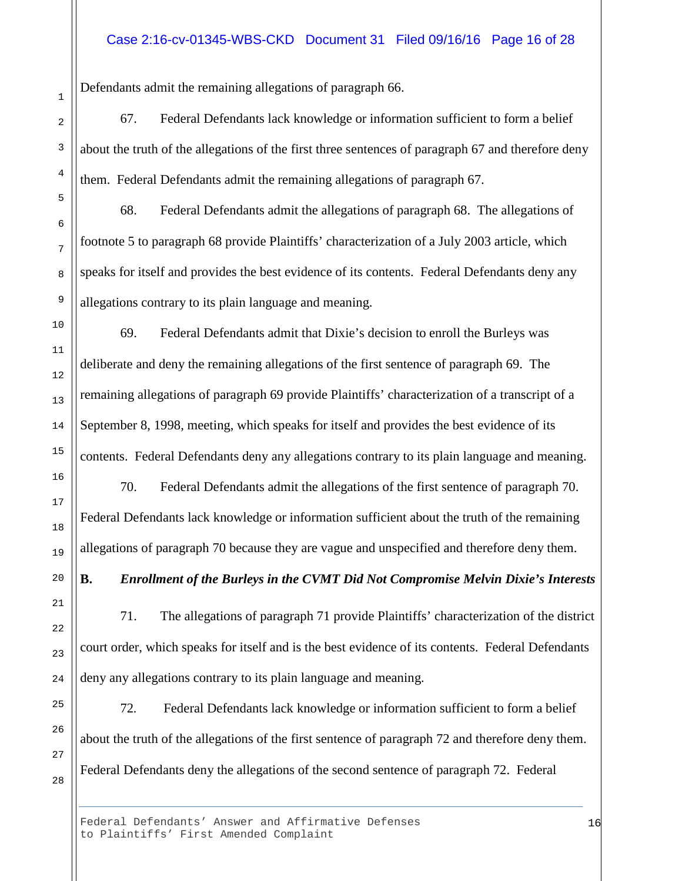#### Case 2:16-cv-01345-WBS-CKD Document 31 Filed 09/16/16 Page 16 of 28

Defendants admit the remaining allegations of paragraph 66.

67. Federal Defendants lack knowledge or information sufficient to form a belief about the truth of the allegations of the first three sentences of paragraph 67 and therefore deny them. Federal Defendants admit the remaining allegations of paragraph 67.

68. Federal Defendants admit the allegations of paragraph 68. The allegations of footnote 5 to paragraph 68 provide Plaintiffs' characterization of a July 2003 article, which speaks for itself and provides the best evidence of its contents. Federal Defendants deny any allegations contrary to its plain language and meaning.

69. Federal Defendants admit that Dixie's decision to enroll the Burleys was deliberate and deny the remaining allegations of the first sentence of paragraph 69. The remaining allegations of paragraph 69 provide Plaintiffs' characterization of a transcript of a September 8, 1998, meeting, which speaks for itself and provides the best evidence of its contents. Federal Defendants deny any allegations contrary to its plain language and meaning.

70. Federal Defendants admit the allegations of the first sentence of paragraph 70. Federal Defendants lack knowledge or information sufficient about the truth of the remaining allegations of paragraph 70 because they are vague and unspecified and therefore deny them.

# **B.** *Enrollment of the Burleys in the CVMT Did Not Compromise Melvin Dixie's Interests*

71. The allegations of paragraph 71 provide Plaintiffs' characterization of the district court order, which speaks for itself and is the best evidence of its contents. Federal Defendants deny any allegations contrary to its plain language and meaning.

72*.* Federal Defendants lack knowledge or information sufficient to form a belief about the truth of the allegations of the first sentence of paragraph 72 and therefore deny them. Federal Defendants deny the allegations of the second sentence of paragraph 72. Federal

Federal Defendants' Answer and Affirmative Defenses to Plaintiffs' First Amended Complaint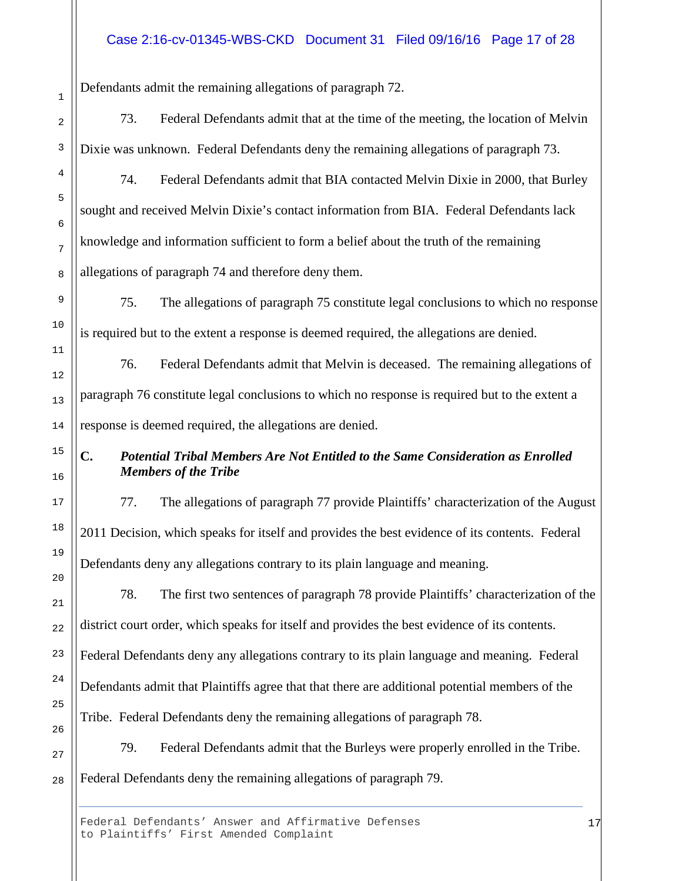## Case 2:16-cv-01345-WBS-CKD Document 31 Filed 09/16/16 Page 17 of 28

Defendants admit the remaining allegations of paragraph 72.

73. Federal Defendants admit that at the time of the meeting, the location of Melvin Dixie was unknown. Federal Defendants deny the remaining allegations of paragraph 73.

74. Federal Defendants admit that BIA contacted Melvin Dixie in 2000, that Burley sought and received Melvin Dixie's contact information from BIA. Federal Defendants lack knowledge and information sufficient to form a belief about the truth of the remaining allegations of paragraph 74 and therefore deny them.

75. The allegations of paragraph 75 constitute legal conclusions to which no response is required but to the extent a response is deemed required, the allegations are denied.

76. Federal Defendants admit that Melvin is deceased. The remaining allegations of paragraph 76 constitute legal conclusions to which no response is required but to the extent a response is deemed required, the allegations are denied.

# **C.** *Potential Tribal Members Are Not Entitled to the Same Consideration as Enrolled Members of the Tribe*

77. The allegations of paragraph 77 provide Plaintiffs' characterization of the August 2011 Decision, which speaks for itself and provides the best evidence of its contents. Federal Defendants deny any allegations contrary to its plain language and meaning.

78. The first two sentences of paragraph 78 provide Plaintiffs' characterization of the district court order, which speaks for itself and provides the best evidence of its contents. Federal Defendants deny any allegations contrary to its plain language and meaning. Federal Defendants admit that Plaintiffs agree that that there are additional potential members of the Tribe. Federal Defendants deny the remaining allegations of paragraph 78.

79. Federal Defendants admit that the Burleys were properly enrolled in the Tribe. Federal Defendants deny the remaining allegations of paragraph 79.

Federal Defendants' Answer and Affirmative Defenses to Plaintiffs' First Amended Complaint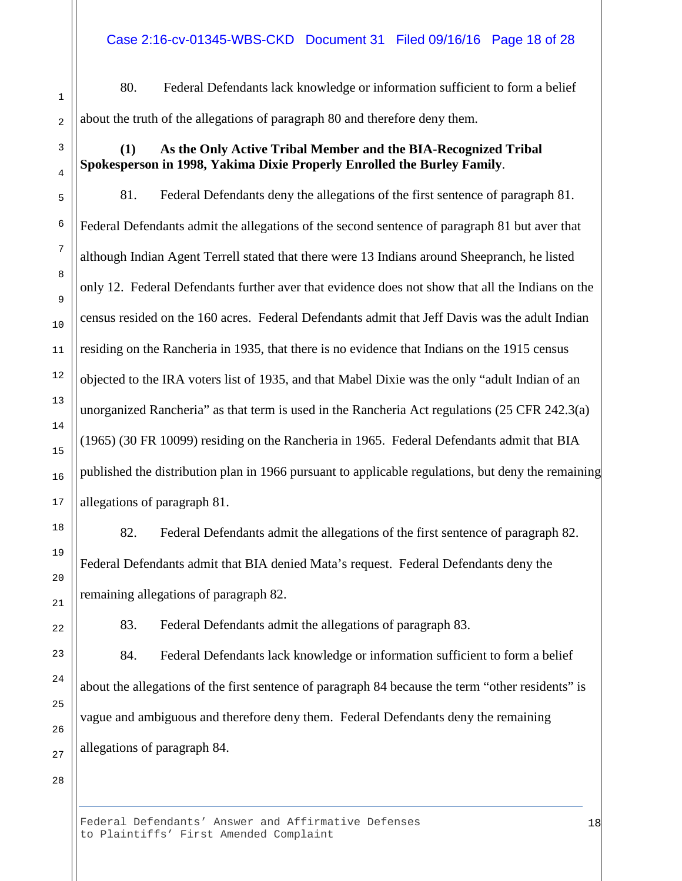80. Federal Defendants lack knowledge or information sufficient to form a belief about the truth of the allegations of paragraph 80 and therefore deny them.

## **(1) As the Only Active Tribal Member and the BIA-Recognized Tribal Spokesperson in 1998, Yakima Dixie Properly Enrolled the Burley Family**.

81. Federal Defendants deny the allegations of the first sentence of paragraph 81. Federal Defendants admit the allegations of the second sentence of paragraph 81 but aver that although Indian Agent Terrell stated that there were 13 Indians around Sheepranch, he listed only 12. Federal Defendants further aver that evidence does not show that all the Indians on the census resided on the 160 acres. Federal Defendants admit that Jeff Davis was the adult Indian residing on the Rancheria in 1935, that there is no evidence that Indians on the 1915 census objected to the IRA voters list of 1935, and that Mabel Dixie was the only "adult Indian of an unorganized Rancheria" as that term is used in the Rancheria Act regulations (25 CFR 242.3(a) (1965) (30 FR 10099) residing on the Rancheria in 1965. Federal Defendants admit that BIA published the distribution plan in 1966 pursuant to applicable regulations, but deny the remaining allegations of paragraph 81.

82. Federal Defendants admit the allegations of the first sentence of paragraph 82. Federal Defendants admit that BIA denied Mata's request. Federal Defendants deny the remaining allegations of paragraph 82.

83. Federal Defendants admit the allegations of paragraph 83.

84. Federal Defendants lack knowledge or information sufficient to form a belief about the allegations of the first sentence of paragraph 84 because the term "other residents" is vague and ambiguous and therefore deny them. Federal Defendants deny the remaining allegations of paragraph 84.

28

1

2

3

4

5

6

7

8

9

10

11

12

13

14

15

16

17

18

19

20

21

22

23

24

25

26

27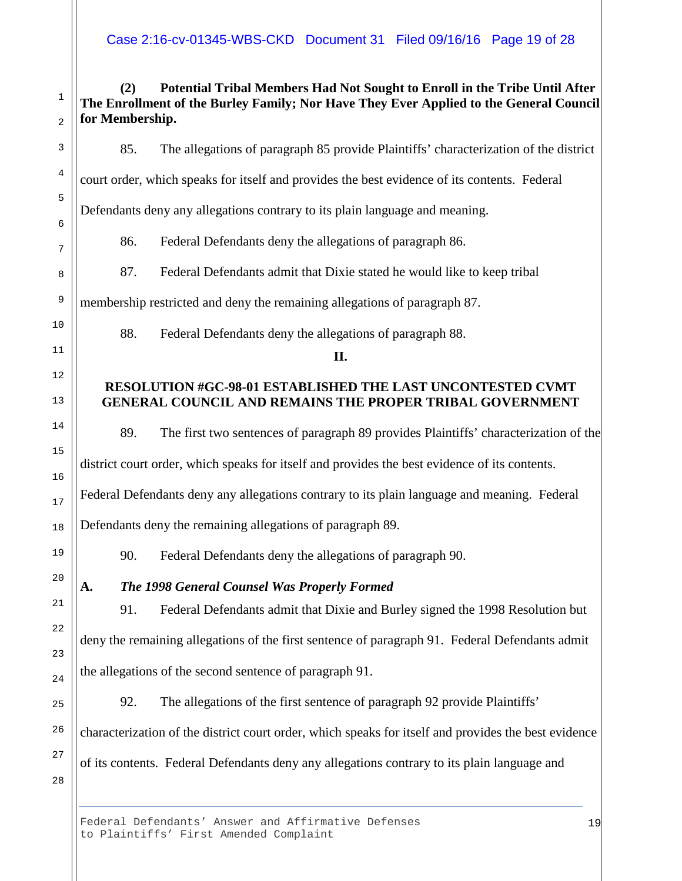# **(2) Potential Tribal Members Had Not Sought to Enroll in the Tribe Until After The Enrollment of the Burley Family; Nor Have They Ever Applied to the General Council for Membership.**

85. The allegations of paragraph 85 provide Plaintiffs' characterization of the district

court order, which speaks for itself and provides the best evidence of its contents. Federal

Defendants deny any allegations contrary to its plain language and meaning.

86. Federal Defendants deny the allegations of paragraph 86.

87. Federal Defendants admit that Dixie stated he would like to keep tribal

membership restricted and deny the remaining allegations of paragraph 87.

88. Federal Defendants deny the allegations of paragraph 88.

#### **II.**

# **RESOLUTION #GC-98-01 ESTABLISHED THE LAST UNCONTESTED CVMT GENERAL COUNCIL AND REMAINS THE PROPER TRIBAL GOVERNMENT**

89. The first two sentences of paragraph 89 provides Plaintiffs' characterization of the

district court order, which speaks for itself and provides the best evidence of its contents.

Federal Defendants deny any allegations contrary to its plain language and meaning. Federal

Defendants deny the remaining allegations of paragraph 89.

90. Federal Defendants deny the allegations of paragraph 90.

**A.** *The 1998 General Counsel Was Properly Formed*

91. Federal Defendants admit that Dixie and Burley signed the 1998 Resolution but deny the remaining allegations of the first sentence of paragraph 91. Federal Defendants admit the allegations of the second sentence of paragraph 91.

92. The allegations of the first sentence of paragraph 92 provide Plaintiffs' characterization of the district court order, which speaks for itself and provides the best evidence of its contents. Federal Defendants deny any allegations contrary to its plain language and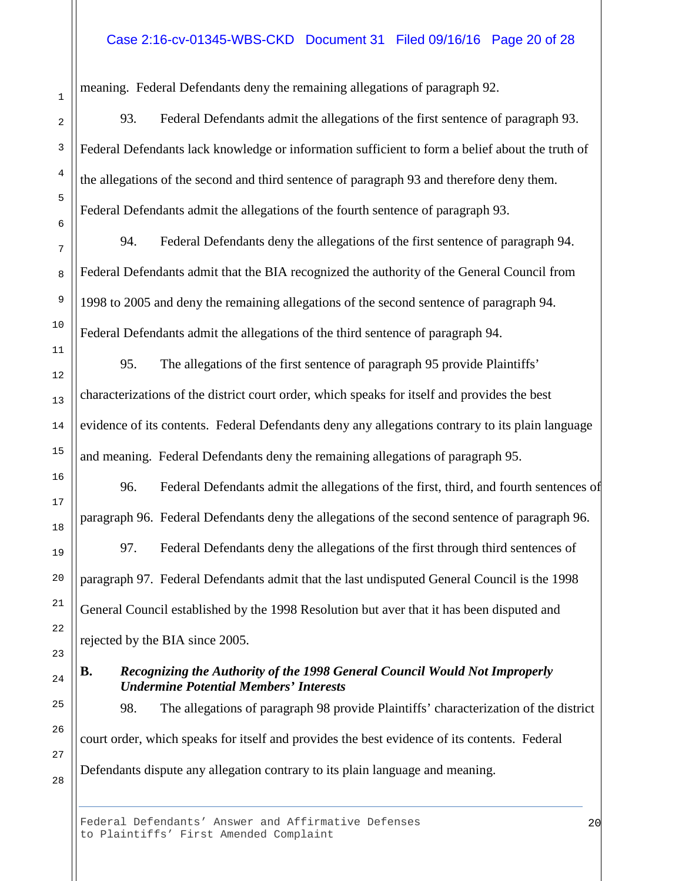#### Case 2:16-cv-01345-WBS-CKD Document 31 Filed 09/16/16 Page 20 of 28

meaning. Federal Defendants deny the remaining allegations of paragraph 92.

93*.* Federal Defendants admit the allegations of the first sentence of paragraph 93. Federal Defendants lack knowledge or information sufficient to form a belief about the truth of the allegations of the second and third sentence of paragraph 93 and therefore deny them. Federal Defendants admit the allegations of the fourth sentence of paragraph 93.

94. Federal Defendants deny the allegations of the first sentence of paragraph 94. Federal Defendants admit that the BIA recognized the authority of the General Council from 1998 to 2005 and deny the remaining allegations of the second sentence of paragraph 94. Federal Defendants admit the allegations of the third sentence of paragraph 94.

95. The allegations of the first sentence of paragraph 95 provide Plaintiffs' characterizations of the district court order, which speaks for itself and provides the best evidence of its contents. Federal Defendants deny any allegations contrary to its plain language and meaning. Federal Defendants deny the remaining allegations of paragraph 95.

96. Federal Defendants admit the allegations of the first, third, and fourth sentences of paragraph 96. Federal Defendants deny the allegations of the second sentence of paragraph 96.

97. Federal Defendants deny the allegations of the first through third sentences of paragraph 97. Federal Defendants admit that the last undisputed General Council is the 1998 General Council established by the 1998 Resolution but aver that it has been disputed and rejected by the BIA since 2005.

#### **B.** *Recognizing the Authority of the 1998 General Council Would Not Improperly Undermine Potential Members' Interests*

98. The allegations of paragraph 98 provide Plaintiffs' characterization of the district court order, which speaks for itself and provides the best evidence of its contents. Federal Defendants dispute any allegation contrary to its plain language and meaning.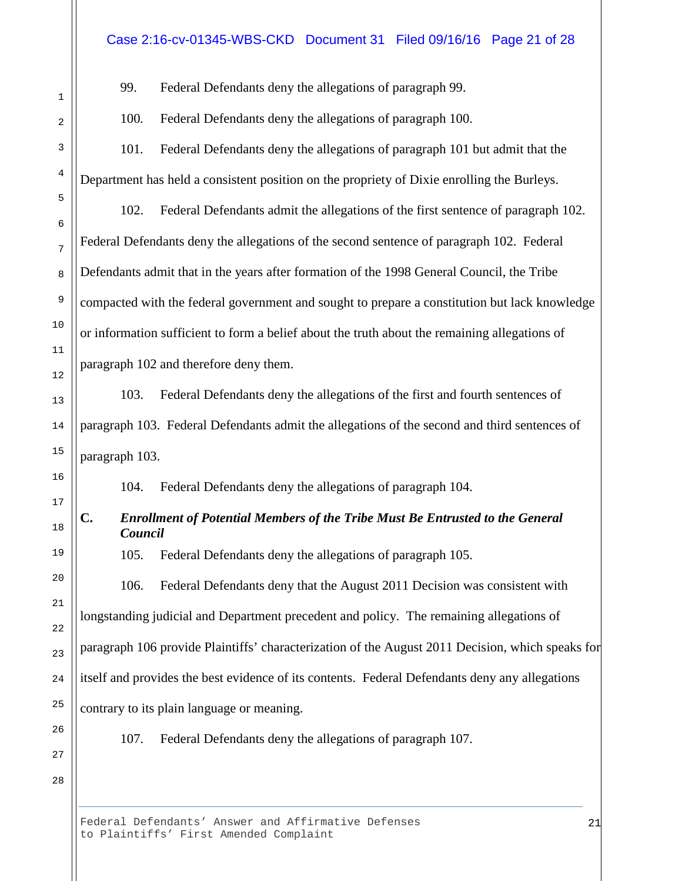#### Case 2:16-cv-01345-WBS-CKD Document 31 Filed 09/16/16 Page 21 of 28

99. Federal Defendants deny the allegations of paragraph 99.

100*.* Federal Defendants deny the allegations of paragraph 100.

101*.* Federal Defendants deny the allegations of paragraph 101 but admit that the Department has held a consistent position on the propriety of Dixie enrolling the Burleys.

102. Federal Defendants admit the allegations of the first sentence of paragraph 102. Federal Defendants deny the allegations of the second sentence of paragraph 102. Federal Defendants admit that in the years after formation of the 1998 General Council, the Tribe compacted with the federal government and sought to prepare a constitution but lack knowledge or information sufficient to form a belief about the truth about the remaining allegations of paragraph 102 and therefore deny them.

103. Federal Defendants deny the allegations of the first and fourth sentences of paragraph 103. Federal Defendants admit the allegations of the second and third sentences of paragraph 103.

104. Federal Defendants deny the allegations of paragraph 104.

# **C.** *Enrollment of Potential Members of the Tribe Must Be Entrusted to the General Council*

105. Federal Defendants deny the allegations of paragraph 105.

106. Federal Defendants deny that the August 2011 Decision was consistent with longstanding judicial and Department precedent and policy. The remaining allegations of paragraph 106 provide Plaintiffs' characterization of the August 2011 Decision, which speaks for itself and provides the best evidence of its contents. Federal Defendants deny any allegations contrary to its plain language or meaning.

107. Federal Defendants deny the allegations of paragraph 107.

28

1

2

3

4

5

6

7

8

9

10

11

12

13

14

15

16

17

18

19

20

21

22

23

24

25

26

27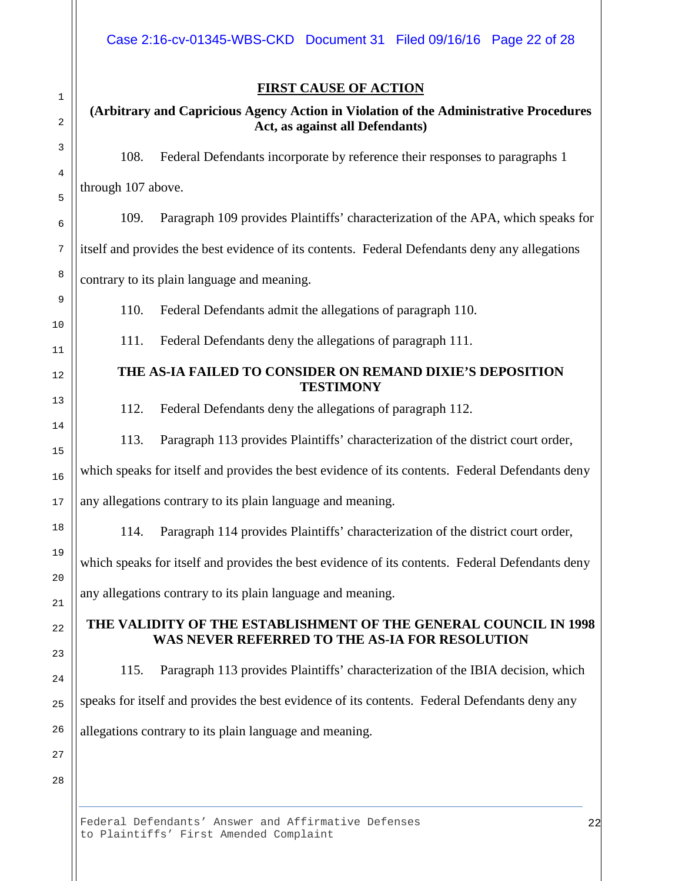# **FIRST CAUSE OF ACTION**

## **(Arbitrary and Capricious Agency Action in Violation of the Administrative Procedures Act, as against all Defendants)**

108. Federal Defendants incorporate by reference their responses to paragraphs 1

through 107 above.

109. Paragraph 109 provides Plaintiffs' characterization of the APA, which speaks for

itself and provides the best evidence of its contents. Federal Defendants deny any allegations

contrary to its plain language and meaning.

110. Federal Defendants admit the allegations of paragraph 110.

111. Federal Defendants deny the allegations of paragraph 111.

## **THE AS-IA FAILED TO CONSIDER ON REMAND DIXIE'S DEPOSITION TESTIMONY**

112. Federal Defendants deny the allegations of paragraph 112.

113. Paragraph 113 provides Plaintiffs' characterization of the district court order,

which speaks for itself and provides the best evidence of its contents. Federal Defendants deny

any allegations contrary to its plain language and meaning.

114. Paragraph 114 provides Plaintiffs' characterization of the district court order,

which speaks for itself and provides the best evidence of its contents. Federal Defendants deny any allegations contrary to its plain language and meaning.

# **THE VALIDITY OF THE ESTABLISHMENT OF THE GENERAL COUNCIL IN 1998 WAS NEVER REFERRED TO THE AS-IA FOR RESOLUTION**

115. Paragraph 113 provides Plaintiffs' characterization of the IBIA decision, which speaks for itself and provides the best evidence of its contents. Federal Defendants deny any allegations contrary to its plain language and meaning.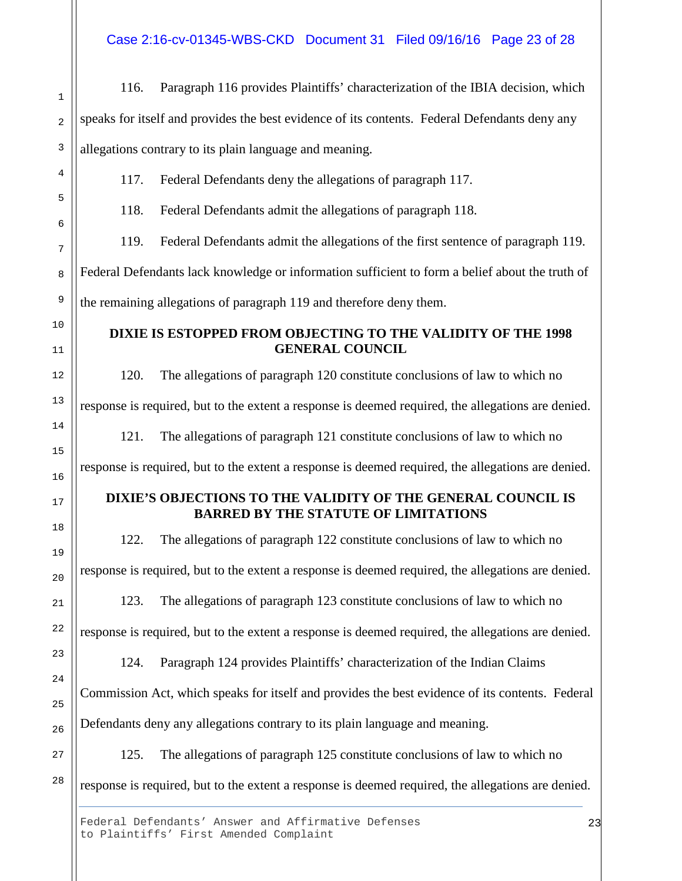Case 2:16-cv-01345-WBS-CKD Document 31 Filed 09/16/16 Page 23 of 28

1 2 3 4 5 6 7 8 9 10 11 12 13 14 15 16 17 18 19 20 21 22 23 24 25 26 27 28 116. Paragraph 116 provides Plaintiffs' characterization of the IBIA decision, which speaks for itself and provides the best evidence of its contents. Federal Defendants deny any allegations contrary to its plain language and meaning. 117. Federal Defendants deny the allegations of paragraph 117. 118. Federal Defendants admit the allegations of paragraph 118. 119. Federal Defendants admit the allegations of the first sentence of paragraph 119. Federal Defendants lack knowledge or information sufficient to form a belief about the truth of the remaining allegations of paragraph 119 and therefore deny them. **DIXIE IS ESTOPPED FROM OBJECTING TO THE VALIDITY OF THE 1998 GENERAL COUNCIL** 120. The allegations of paragraph 120 constitute conclusions of law to which no response is required, but to the extent a response is deemed required, the allegations are denied. 121. The allegations of paragraph 121 constitute conclusions of law to which no response is required, but to the extent a response is deemed required, the allegations are denied. **DIXIE'S OBJECTIONS TO THE VALIDITY OF THE GENERAL COUNCIL IS BARRED BY THE STATUTE OF LIMITATIONS** 122. The allegations of paragraph 122 constitute conclusions of law to which no response is required, but to the extent a response is deemed required, the allegations are denied. 123. The allegations of paragraph 123 constitute conclusions of law to which no response is required, but to the extent a response is deemed required, the allegations are denied. 124. Paragraph 124 provides Plaintiffs' characterization of the Indian Claims Commission Act, which speaks for itself and provides the best evidence of its contents. Federal Defendants deny any allegations contrary to its plain language and meaning. 125. The allegations of paragraph 125 constitute conclusions of law to which no response is required, but to the extent a response is deemed required, the allegations are denied.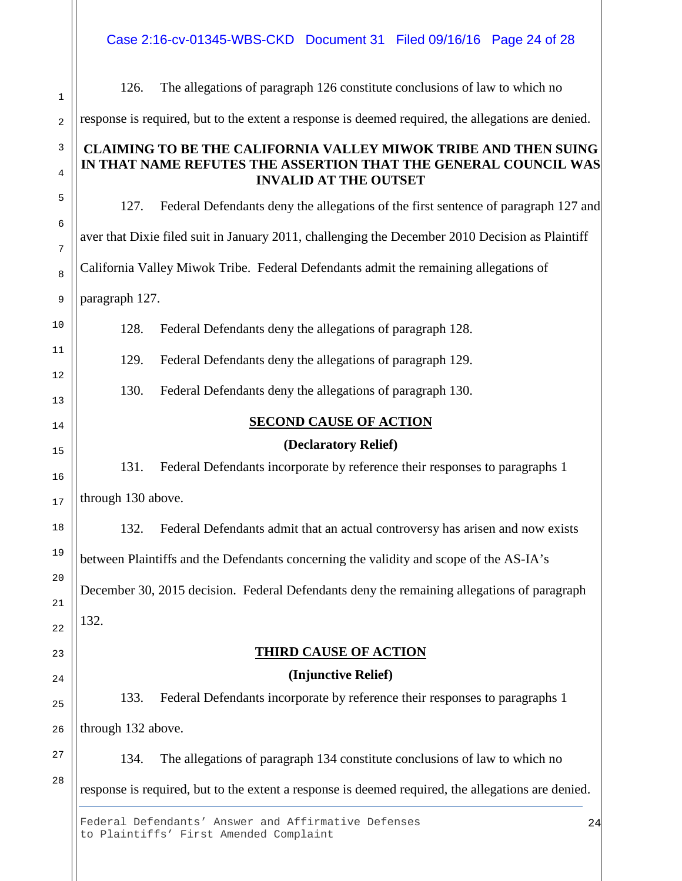Case 2:16-cv-01345-WBS-CKD Document 31 Filed 09/16/16 Page 24 of 28

| 1        | 126.                                                                                               | The allegations of paragraph 126 constitute conclusions of law to which no         |  |  |  |
|----------|----------------------------------------------------------------------------------------------------|------------------------------------------------------------------------------------|--|--|--|
| 2        | response is required, but to the extent a response is deemed required, the allegations are denied. |                                                                                    |  |  |  |
| 3        | <b>CLAIMING TO BE THE CALIFORNIA VALLEY MIWOK TRIBE AND THEN SUING</b>                             |                                                                                    |  |  |  |
| 4        | IN THAT NAME REFUTES THE ASSERTION THAT THE GENERAL COUNCIL WAS<br><b>INVALID AT THE OUTSET</b>    |                                                                                    |  |  |  |
| 5        | 127.                                                                                               | Federal Defendants deny the allegations of the first sentence of paragraph 127 and |  |  |  |
| 6<br>7   | aver that Dixie filed suit in January 2011, challenging the December 2010 Decision as Plaintiff    |                                                                                    |  |  |  |
| 8        | California Valley Miwok Tribe. Federal Defendants admit the remaining allegations of               |                                                                                    |  |  |  |
| 9        | paragraph 127.                                                                                     |                                                                                    |  |  |  |
| 10       | 128.                                                                                               | Federal Defendants deny the allegations of paragraph 128.                          |  |  |  |
| 11       | 129.                                                                                               | Federal Defendants deny the allegations of paragraph 129.                          |  |  |  |
| 12<br>13 | 130.                                                                                               | Federal Defendants deny the allegations of paragraph 130.                          |  |  |  |
| 14       | <b>SECOND CAUSE OF ACTION</b>                                                                      |                                                                                    |  |  |  |
|          | (Declaratory Relief)                                                                               |                                                                                    |  |  |  |
| 15<br>16 | 131.                                                                                               | Federal Defendants incorporate by reference their responses to paragraphs 1        |  |  |  |
| 17       | through 130 above.                                                                                 |                                                                                    |  |  |  |
| 18       | 132.                                                                                               | Federal Defendants admit that an actual controversy has arisen and now exists      |  |  |  |
| 19       | between Plaintiffs and the Defendants concerning the validity and scope of the AS-IA's             |                                                                                    |  |  |  |
| 20       | December 30, 2015 decision. Federal Defendants deny the remaining allegations of paragraph         |                                                                                    |  |  |  |
| 21<br>22 | 132.                                                                                               |                                                                                    |  |  |  |
| 23       |                                                                                                    | <b>THIRD CAUSE OF ACTION</b>                                                       |  |  |  |
|          |                                                                                                    | (Injunctive Relief)                                                                |  |  |  |
| 24<br>25 | 133.                                                                                               | Federal Defendants incorporate by reference their responses to paragraphs 1        |  |  |  |
| 26       | through 132 above.                                                                                 |                                                                                    |  |  |  |
| 27       | 134.                                                                                               | The allegations of paragraph 134 constitute conclusions of law to which no         |  |  |  |
| 28       | response is required, but to the extent a response is deemed required, the allegations are denied. |                                                                                    |  |  |  |
|          |                                                                                                    | Federal Defendants' Answer and Affirmative Defenses<br>24                          |  |  |  |

to Plaintiffs' First Amended Complaint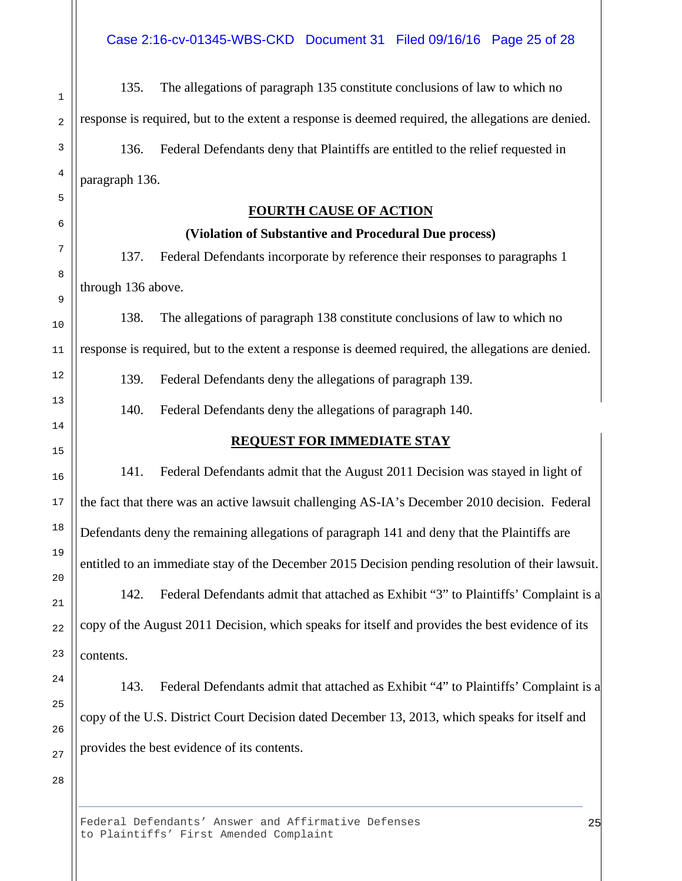135. The allegations of paragraph 135 constitute conclusions of law to which no response is required, but to the extent a response is deemed required, the allegations are denied. 136. Federal Defendants deny that Plaintiffs are entitled to the relief requested in paragraph 136.

#### **FOURTH CAUSE OF ACTION**

#### **(Violation of Substantive and Procedural Due process)**

137. Federal Defendants incorporate by reference their responses to paragraphs 1 through 136 above.

138. The allegations of paragraph 138 constitute conclusions of law to which no response is required, but to the extent a response is deemed required, the allegations are denied.

139. Federal Defendants deny the allegations of paragraph 139.

140. Federal Defendants deny the allegations of paragraph 140.

## **REQUEST FOR IMMEDIATE STAY**

141. Federal Defendants admit that the August 2011 Decision was stayed in light of the fact that there was an active lawsuit challenging AS-IA's December 2010 decision. Federal Defendants deny the remaining allegations of paragraph 141 and deny that the Plaintiffs are entitled to an immediate stay of the December 2015 Decision pending resolution of their lawsuit.

142. Federal Defendants admit that attached as Exhibit "3" to Plaintiffs' Complaint is a copy of the August 2011 Decision, which speaks for itself and provides the best evidence of its contents.

143. Federal Defendants admit that attached as Exhibit "4" to Plaintiffs' Complaint is a copy of the U.S. District Court Decision dated December 13, 2013, which speaks for itself and provides the best evidence of its contents.

28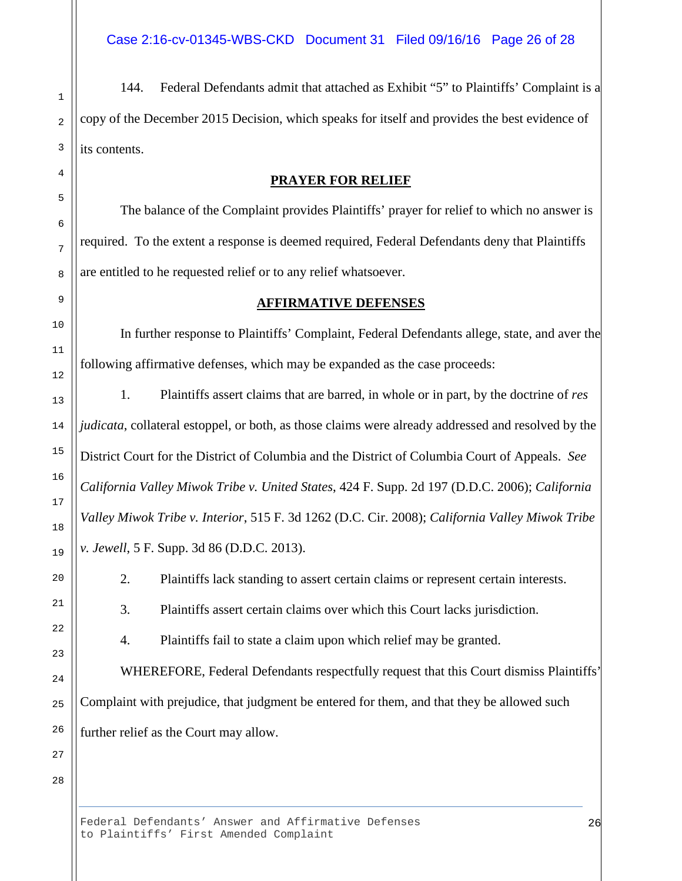144. Federal Defendants admit that attached as Exhibit "5" to Plaintiffs' Complaint is a copy of the December 2015 Decision, which speaks for itself and provides the best evidence of its contents.

## **PRAYER FOR RELIEF**

The balance of the Complaint provides Plaintiffs' prayer for relief to which no answer is required. To the extent a response is deemed required, Federal Defendants deny that Plaintiffs are entitled to he requested relief or to any relief whatsoever.

# **AFFIRMATIVE DEFENSES**

In further response to Plaintiffs' Complaint, Federal Defendants allege, state, and aver the following affirmative defenses, which may be expanded as the case proceeds:

1. Plaintiffs assert claims that are barred, in whole or in part, by the doctrine of *res judicata*, collateral estoppel, or both, as those claims were already addressed and resolved by the District Court for the District of Columbia and the District of Columbia Court of Appeals. *See California Valley Miwok Tribe v. United States*, 424 F. Supp. 2d 197 (D.D.C. 2006); *California Valley Miwok Tribe v. Interior*, 515 F. 3d 1262 (D.C. Cir. 2008); *California Valley Miwok Tribe v. Jewell*, 5 F. Supp. 3d 86 (D.D.C. 2013).

2. Plaintiffs lack standing to assert certain claims or represent certain interests.

3. Plaintiffs assert certain claims over which this Court lacks jurisdiction.

4. Plaintiffs fail to state a claim upon which relief may be granted.

WHEREFORE, Federal Defendants respectfully request that this Court dismiss Plaintiffs' Complaint with prejudice, that judgment be entered for them, and that they be allowed such further relief as the Court may allow.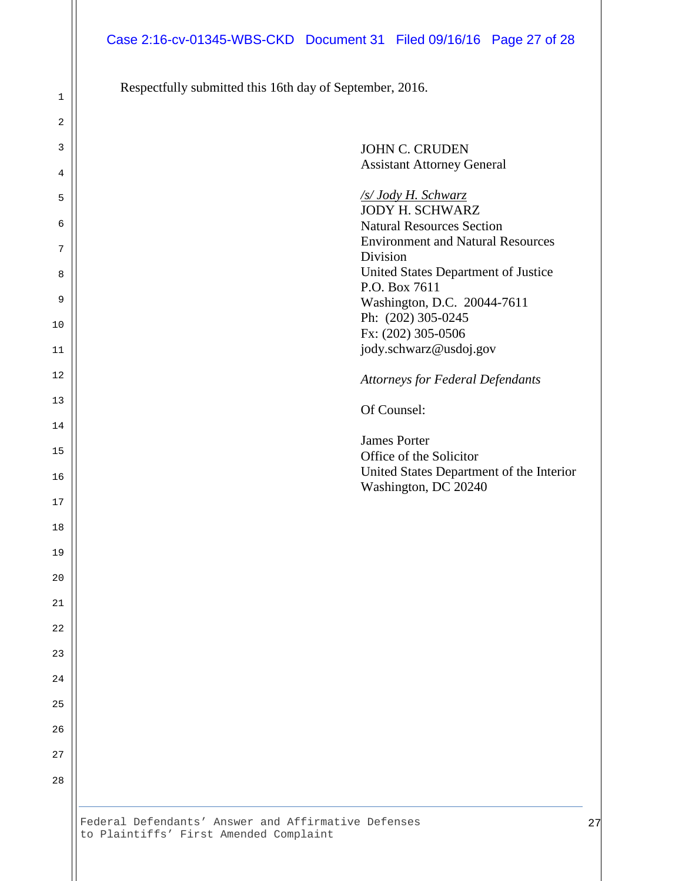Respectfully submitted this 16th day of September, 2016.

| <b>JOHN C. CRUDEN</b>                    |
|------------------------------------------|
| <b>Assistant Attorney General</b>        |
| /s/ Jody H. Schwarz                      |
| <b>JODY H. SCHWARZ</b>                   |
| <b>Natural Resources Section</b>         |
| <b>Environment and Natural Resources</b> |
| Division                                 |
| United States Department of Justice      |
| P.O. Box 7611                            |
| Washington, D.C. 20044-7611              |
| Ph: (202) 305-0245                       |
| Fx: (202) 305-0506                       |
| jody.schwarz@usdoj.gov                   |
| <b>Attorneys for Federal Defendants</b>  |
| Of Counsel:                              |
| <b>James Porter</b>                      |
| Office of the Solicitor                  |
| United States Department of the Interior |
| Washington, DC 20240                     |
|                                          |
|                                          |
|                                          |
|                                          |
|                                          |
|                                          |
|                                          |
|                                          |
|                                          |
|                                          |
|                                          |
|                                          |
|                                          |
|                                          |
|                                          |
|                                          |
|                                          |
|                                          |
|                                          |
|                                          |